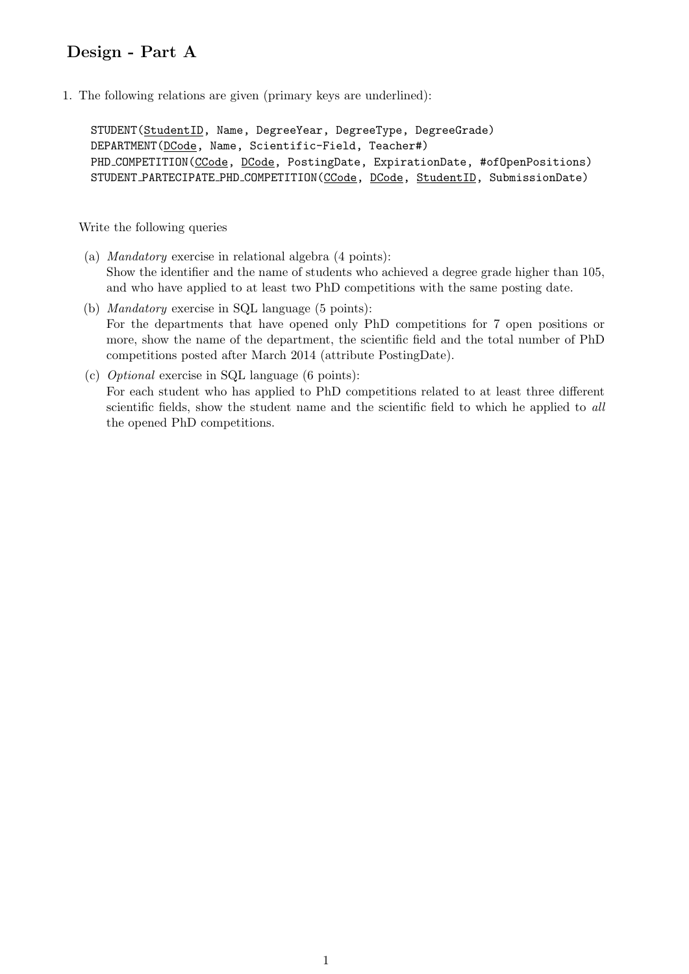## Design - Part A

1. The following relations are given (primary keys are underlined):

STUDENT(StudentID, Name, DegreeYear, DegreeType, DegreeGrade) DEPARTMENT(DCode, Name, Scientific-Field, Teacher#) PHD\_COMPETITION(CCode, DCode, PostingDate, ExpirationDate, #ofOpenPositions) STUDENT PARTECIPATE PHD COMPETITION(CCode, DCode, StudentID, SubmissionDate)

## Write the following queries

- (a) Mandatory exercise in relational algebra (4 points): Show the identifier and the name of students who achieved a degree grade higher than 105, and who have applied to at least two PhD competitions with the same posting date.
- (b) Mandatory exercise in SQL language (5 points): For the departments that have opened only PhD competitions for 7 open positions or more, show the name of the department, the scientific field and the total number of PhD competitions posted after March 2014 (attribute PostingDate).
- (c) Optional exercise in SQL language (6 points): For each student who has applied to PhD competitions related to at least three different scientific fields, show the student name and the scientific field to which he applied to all the opened PhD competitions.